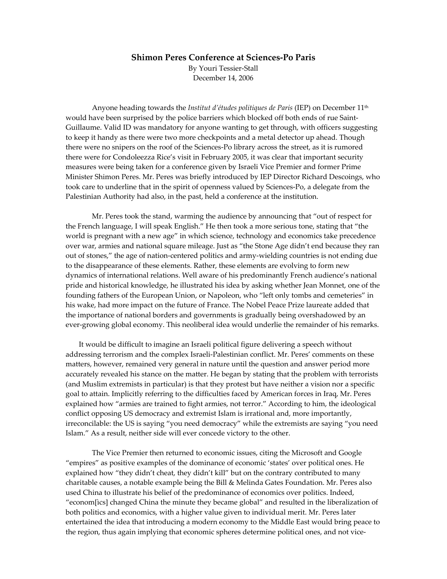## **Shimon Peres Conference at Sciences-Po Paris**

By Youri Tessier-Stall December 14, 2006

Anyone heading towards the *Institut d'études politiques de Paris* (IEP) on December 11th would have been surprised by the police barriers which blocked off both ends of rue Saint-Guillaume. Valid ID was mandatory for anyone wanting to get through, with officers suggesting to keep it handy as there were two more checkpoints and a metal detector up ahead. Though there were no snipers on the roof of the Sciences-Po library across the street, as it is rumored there were for Condoleezza Rice's visit in February 2005, it was clear that important security measures were being taken for a conference given by Israeli Vice Premier and former Prime Minister Shimon Peres. Mr. Peres was briefly introduced by IEP Director Richard Descoings, who took care to underline that in the spirit of openness valued by Sciences-Po, a delegate from the Palestinian Authority had also, in the past, held a conference at the institution.

Mr. Peres took the stand, warming the audience by announcing that "out of respect for the French language, I will speak English." He then took a more serious tone, stating that "the world is pregnant with a new age" in which science, technology and economics take precedence over war, armies and national square mileage. Just as "the Stone Age didn't end because they ran out of stones," the age of nation-centered politics and army-wielding countries is not ending due to the disappearance of these elements. Rather, these elements are evolving to form new dynamics of international relations. Well aware of his predominantly French audience's national pride and historical knowledge, he illustrated his idea by asking whether Jean Monnet, one of the founding fathers of the European Union, or Napoleon, who "left only tombs and cemeteries" in his wake, had more impact on the future of France. The Nobel Peace Prize laureate added that the importance of national borders and governments is gradually being overshadowed by an ever-growing global economy. This neoliberal idea would underlie the remainder of his remarks.

It would be difficult to imagine an Israeli political figure delivering a speech without addressing terrorism and the complex Israeli-Palestinian conflict. Mr. Peres' comments on these matters, however, remained very general in nature until the question and answer period more accurately revealed his stance on the matter. He began by stating that the problem with terrorists (and Muslim extremists in particular) is that they protest but have neither a vision nor a specific goal to attain. Implicitly referring to the difficulties faced by American forces in Iraq, Mr. Peres explained how "armies are trained to fight armies, not terror." According to him, the ideological conflict opposing US democracy and extremist Islam is irrational and, more importantly, irreconcilable: the US is saying "you need democracy" while the extremists are saying "you need Islam." As a result, neither side will ever concede victory to the other.

The Vice Premier then returned to economic issues, citing the Microsoft and Google "empires" as positive examples of the dominance of economic 'states' over political ones. He explained how "they didn't cheat, they didn't kill" but on the contrary contributed to many charitable causes, a notable example being the Bill & Melinda Gates Foundation. Mr. Peres also used China to illustrate his belief of the predominance of economics over politics. Indeed, "econom[ìcs] changed China the minute they became global" and resulted in the liberalization of both politics and economics, with a higher value given to individual merit. Mr. Peres later entertained the idea that introducing a modern economy to the Middle East would bring peace to the region, thus again implying that economic spheres determine political ones, and not vice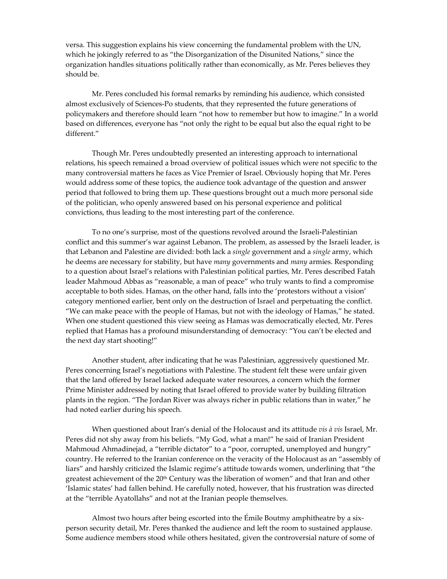versa. This suggestion explains his view concerning the fundamental problem with the UN, which he jokingly referred to as "the Disorganization of the Disunited Nations," since the organization handles situations politically rather than economically, as Mr. Peres believes they should be.

Mr. Peres concluded his formal remarks by reminding his audience, which consisted almost exclusively of Sciences-Po students, that they represented the future generations of policymakers and therefore should learn "not how to remember but how to imagine." In a world based on differences, everyone has "not only the right to be equal but also the equal right to be different."

Though Mr. Peres undoubtedly presented an interesting approach to international relations, his speech remained a broad overview of political issues which were not specific to the many controversial matters he faces as Vice Premier of Israel. Obviously hoping that Mr. Peres would address some of these topics, the audience took advantage of the question and answer period that followed to bring them up. These questions brought out a much more personal side of the politician, who openly answered based on his personal experience and political convictions, thus leading to the most interesting part of the conference.

To no one's surprise, most of the questions revolved around the Israeli-Palestinian conflict and this summer's war against Lebanon. The problem, as assessed by the Israeli leader, is that Lebanon and Palestine are divided: both lack a *single* government and a *single* army, which he deems are necessary for stability, but have *many* governments and *many* armies. Responding to a question about Israel's relations with Palestinian political parties, Mr. Peres described Fatah leader Mahmoud Abbas as "reasonable, a man of peace" who truly wants to find a compromise acceptable to both sides. Hamas, on the other hand, falls into the 'protestors without a vision' category mentioned earlier, bent only on the destruction of Israel and perpetuating the conflict. "We can make peace with the people of Hamas, but not with the ideology of Hamas," he stated. When one student questioned this view seeing as Hamas was democratically elected, Mr. Peres replied that Hamas has a profound misunderstanding of democracy: "You can't be elected and the next day start shooting!"

Another student, after indicating that he was Palestinian, aggressively questioned Mr. Peres concerning Israel's negotiations with Palestine. The student felt these were unfair given that the land offered by Israel lacked adequate water resources, a concern which the former Prime Minister addressed by noting that Israel offered to provide water by building filtration plants in the region. "The Jordan River was always richer in public relations than in water," he had noted earlier during his speech.

When questioned about Iran's denial of the Holocaust and its attitude *vis à vis* Israel, Mr. Peres did not shy away from his beliefs. "My God, what a man!" he said of Iranian President Mahmoud Ahmadinejad, a "terrible dictator" to a "poor, corrupted, unemployed and hungry" country. He referred to the Iranian conference on the veracity of the Holocaust as an "assembly of liars" and harshly criticized the Islamic regime's attitude towards women, underlining that "the greatest achievement of the 20<sup>th</sup> Century was the liberation of women" and that Iran and other 'Islamic states' had fallen behind. He carefully noted, however, that his frustration was directed at the "terrible Ayatollahs" and not at the Iranian people themselves.

Almost two hours after being escorted into the Émile Boutmy amphitheatre by a sixperson security detail, Mr. Peres thanked the audience and left the room to sustained applause. Some audience members stood while others hesitated, given the controversial nature of some of